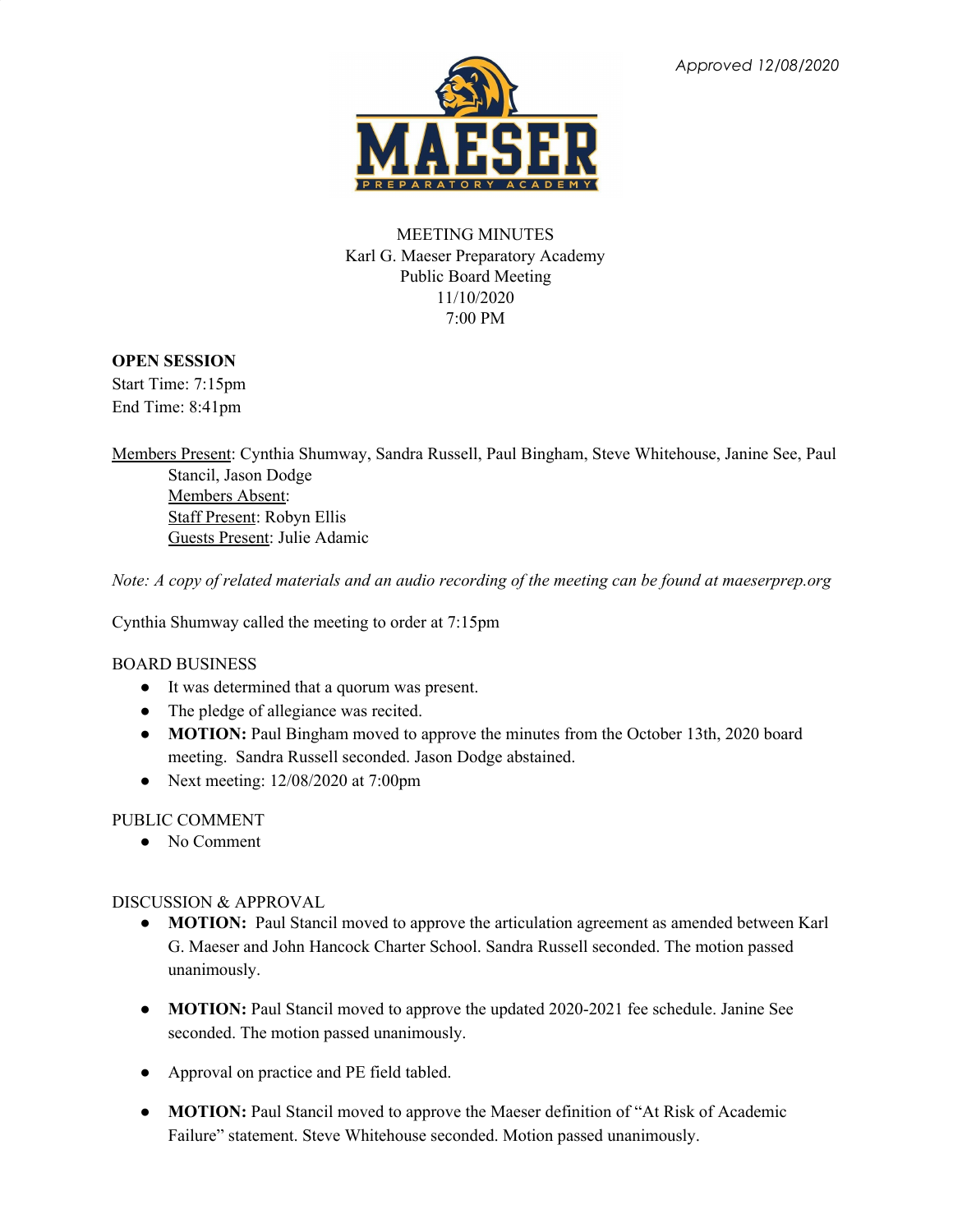

# MEETING MINUTES Karl G. Maeser Preparatory Academy Public Board Meeting 11/10/2020 7:00 PM

# **OPEN SESSION**

Start Time: 7:15pm End Time: 8:41pm

Members Present: Cynthia Shumway, Sandra Russell, Paul Bingham, Steve Whitehouse, Janine See, Paul Stancil, Jason Dodge Members Absent: Staff Present: Robyn Ellis Guests Present: Julie Adamic

Note: A copy of related materials and an audio recording of the meeting can be found at maeserprep.org

Cynthia Shumway called the meeting to order at 7:15pm

### BOARD BUSINESS

- It was determined that a quorum was present.
- The pledge of allegiance was recited.
- **MOTION:** Paul Bingham moved to approve the minutes from the October 13th, 2020 board meeting. Sandra Russell seconded. Jason Dodge abstained.
- Next meeting: 12/08/2020 at 7:00pm

### PUBLIC COMMENT

• No Comment

### DISCUSSION & APPROVAL

- **MOTION:** Paul Stancil moved to approve the articulation agreement as amended between Karl G. Maeser and John Hancock Charter School. Sandra Russell seconded. The motion passed unanimously.
- **MOTION:** Paul Stancil moved to approve the updated 2020-2021 fee schedule. Janine See seconded. The motion passed unanimously.
- Approval on practice and PE field tabled.
- **● MOTION:** Paul Stancil moved to approve the Maeser definition of "At Risk of Academic Failure" statement. Steve Whitehouse seconded. Motion passed unanimously.